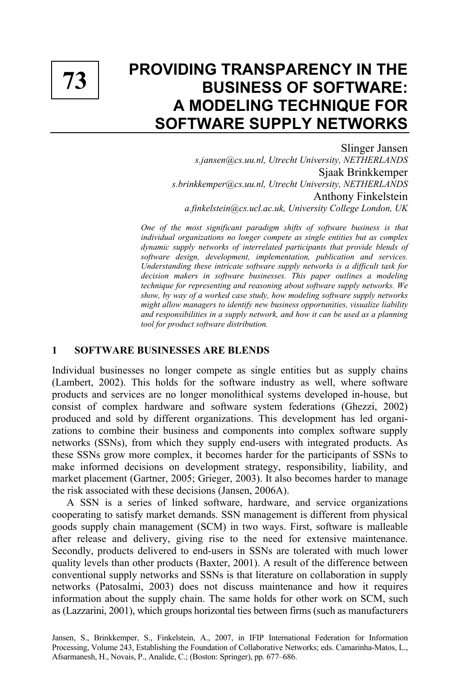**73** 

# **PROVIDING TRANSPARENCY IN THE BUSINESS OF SOFTWARE: A MODELING TECHNIQUE FOR SOFTWARE SUPPLY NETWORKS**

Slinger Jansen *s.jansen@cs.uu.nl, Utrecht University, NETHERLANDS*  Sjaak Brinkkemper *s.brinkkemper@cs.uu.nl, Utrecht University, NETHERLANDS*  Anthony Finkelstein *a.finkelstein@cs.ucl.ac.uk, University College London, UK* 

*One of the most significant paradigm shifts of software business is that individual organizations no longer compete as single entities but as complex dynamic supply networks of interrelated participants that provide blends of software design, development, implementation, publication and services. Understanding these intricate software supply networks is a difficult task for decision makers in software businesses. This paper outlines a modeling technique for representing and reasoning about software supply networks. We show, by way of a worked case study, how modeling software supply networks might allow managers to identify new business opportunities, visualize liability and responsibilities in a supply network, and how it can be used as a planning tool for product software distribution.* 

# **1 SOFTWARE BUSINESSES ARE BLENDS**

Individual businesses no longer compete as single entities but as supply chains (Lambert, 2002). This holds for the software industry as well, where software products and services are no longer monolithical systems developed in-house, but consist of complex hardware and software system federations (Ghezzi, 2002) produced and sold by different organizations. This development has led organinetworks (SSNs), from which they supply end-users with integrated products. As these SSNs grow more complex, it becomes harder for the participants of SSNs to make informed decisions on development strategy, responsibility, liability, and market placement (Gartner, 2005; Grieger, 2003). It also becomes harder to manage the risk associated with these decisions (Jansen, 2006A). zations to combine their business and components into complex software supply

A SSN is a series of linked software, hardware, and service organizations cooperating to satisfy market demands. SSN management is different from physical goods supply chain management (SCM) in two ways. First, software is malleable after release and delivery, giving rise to the need for extensive maintenance. Secondly, products delivered to end-users in SSNs are tolerated with much lower quality levels than other products (Baxter, 2001). A result of the difference between conventional supply networks and SSNs is that literature on collaboration in supply networks (Patosalmi, 2003) does not discuss maintenance and how it requires as (Lazzarini, 2001), which groups horizontal ties between firms (such as manufacturers information about the supply chain. The same holds for other work on SCM, such

Jansen, S., Brinkkemper, S., Finkelstein, A., 2007, in IFIP International Federation for Information Processing, Volume 243, Establishing the Foundation of Collaborative Networks; eds. Camarinha-Matos, L., Afsarmanesh, H., Novais, P., Analide, C.; (Boston: Springer), pp. 677–686.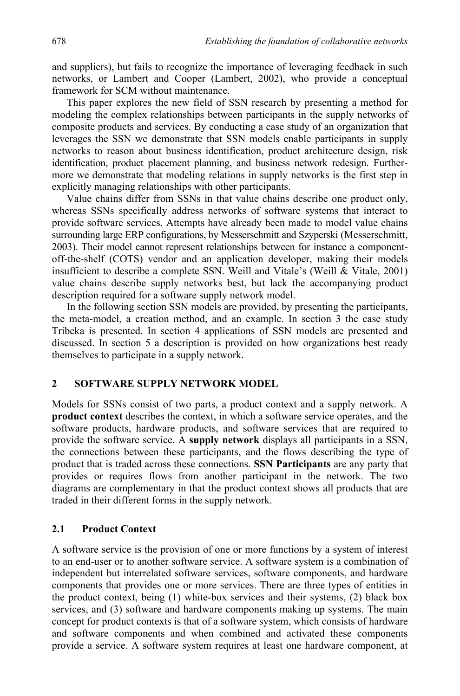and suppliers), but fails to recognize the importance of leveraging feedback in such networks, or Lambert and Cooper (Lambert, 2002), who provide a conceptual framework for SCM without maintenance.

This paper explores the new field of SSN research by presenting a method for modeling the complex relationships between participants in the supply networks of composite products and services. By conducting a case study of an organization that leverages the SSN we demonstrate that SSN models enable participants in supply networks to reason about business identification, product architecture design, risk identification, product placement planning, and business network redesign. Furthermore we demonstrate that modeling relations in supply networks is the first step in explicitly managing relationships with other participants.

Value chains differ from SSNs in that value chains describe one product only, whereas SSNs specifically address networks of software systems that interact to provide software services. Attempts have already been made to model value chains surrounding large ERP configurations, by Messerschmitt and Szyperski (Messerschmitt, 2003). Their model cannot represent relationships between for instance a componentoff-the-shelf (COTS) vendor and an application developer, making their models insufficient to describe a complete SSN. Weill and Vitale's (Weill & Vitale, 2001) value chains describe supply networks best, but lack the accompanying product description required for a software supply network model.

In the following section SSN models are provided, by presenting the participants, the meta-model, a creation method, and an example. In section 3 the case study Tribeka is presented. In section 4 applications of SSN models are presented and discussed. In section 5 a description is provided on how organizations best ready themselves to participate in a supply network.

# **2 SOFTWARE SUPPLY NETWORK MODEL**

Models for SSNs consist of two parts, a product context and a supply network. A **product context** describes the context, in which a software service operates, and the software products, hardware products, and software services that are required to provide the software service. A **supply network** displays all participants in a SSN, the connections between these participants, and the flows describing the type of product that is traded across these connections. **SSN Participants** are any party that provides or requires flows from another participant in the network. The two diagrams are complementary in that the product context shows all products that are traded in their different forms in the supply network.

### **2.1 Product Context**

A software service is the provision of one or more functions by a system of interest to an end-user or to another software service. A software system is a combination of independent but interrelated software services, software components, and hardware components that provides one or more services. There are three types of entities in the product context, being (1) white-box services and their systems, (2) black box services, and (3) software and hardware components making up systems. The main concept for product contexts is that of a software system, which consists of hardware and software components and when combined and activated these components provide a service. A software system requires at least one hardware component, at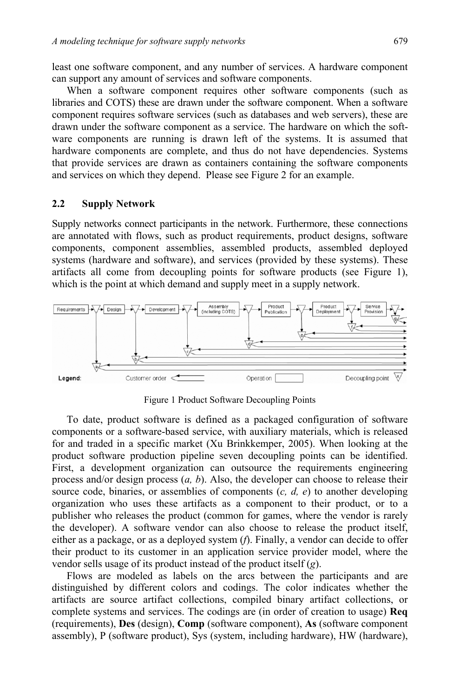least one software component, and any number of services. A hardware component can support any amount of services and software components.

When a software component requires other software components (such as libraries and COTS) these are drawn under the software component. When a software hardware components are complete, and thus do not have dependencies. Systems that provide services are drawn as containers containing the software components component requires software services (such as databases and web servers), these are and services on which they depend. Please see Figure 2 for an example. drawn under the software component as a service. The hardware on which the software components are running is drawn left of the systems. It is assumed that

#### **2.2 Supply Network**

Supply networks connect participants in the network. Furthermore, these connections are annotated with flows, such as product requirements, product designs, software systems (hardware and software), and services (provided by these systems). These artifacts all come from decoupling points for software products (see Figure 1), which is the point at which demand and supply meet in a supply network. components, component assemblies, assembled products, assembled deployed



Figure 1 Product Software Decoupling Points

To date, product software is defined as a packaged configuration of software components or a software-based service, with auxiliary materials, which is released for and traded in a specific market (Xu Brinkkemper, 2005). When looking at the product software production pipeline seven decoupling points can be identified. First, a development organization can outsource the requirements engineering process and/or design process (*a, b*). Also, the developer can choose to release their source code, binaries, or assemblies of components (*c, d, e*) to another developing organization who uses these artifacts as a component to their product, or to a publisher who releases the product (common for games, where the vendor is rarely the developer). A software vendor can also choose to release the product itself, either as a package, or as a deployed system (*f*). Finally, a vendor can decide to offer their product to its customer in an application service provider model, where the vendor sells usage of its product instead of the product itself (*g*).

Flows are modeled as labels on the arcs between the participants and are distinguished by different colors and codings. The color indicates whether the artifacts are source artifact collections, compiled binary artifact collections, or complete systems and services. The codings are (in order of creation to usage) **Req** (requirements), **Des** (design), **Comp** (software component), **As** (software component assembly), P (software product), Sys (system, including hardware), HW (hardware),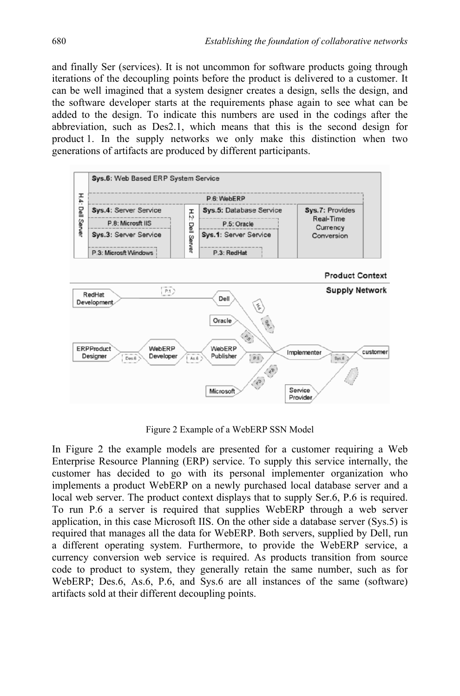and finally Ser (services). It is not uncommon for software products going through iterations of the decoupling points before the product is delivered to a customer. It can be well imagined that a system designer creates a design, sells the design, and the software developer starts at the requirements phase again to see what can be added to the design. To indicate this numbers are used in the codings after the abbreviation, such as Des2.1, which means that this is the second design for product 1. In the supply networks we only make this distinction when two generations of artifacts are produced by different participants.



Figure 2 Example of a WebERP SSN Model

In Figure 2 the example models are presented for a customer requiring a Web Enterprise Resource Planning (ERP) service. To supply this service internally, the customer has decided to go with its personal implementer organization who implements a product WebERP on a newly purchased local database server and a local web server. The product context displays that to supply Ser.6, P.6 is required. To run P.6 a server is required that supplies WebERP through a web server application, in this case Microsoft IIS. On the other side a database server (Sys.5) is required that manages all the data for WebERP. Both servers, supplied by Dell, run a different operating system. Furthermore, to provide the WebERP service, a currency conversion web service is required. As products transition from source code to product to system, they generally retain the same number, such as for WebERP; Des.6, As.6, P.6, and Sys.6 are all instances of the same (software) artifacts sold at their different decoupling points.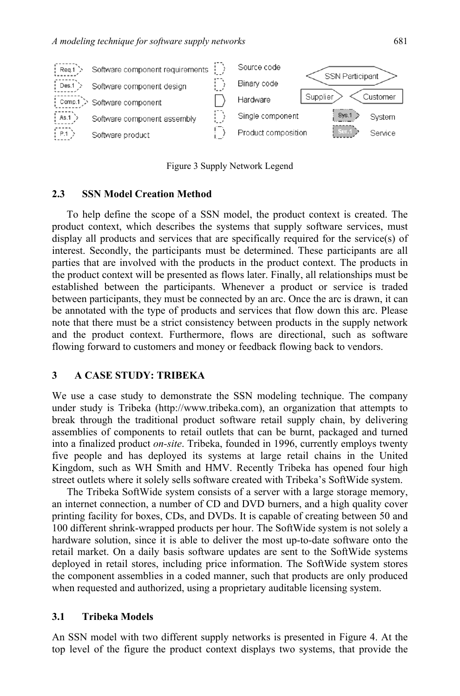

Figure 3 Supply Network Legend

# **2.3 SSN Model Creation Method**

To help define the scope of a SSN model, the product context is created. The product context, which describes the systems that supply software services, must display all products and services that are specifically required for the service(s) of interest. Secondly, the participants must be determined. These participants are all parties that are involved with the products in the product context. The products in the product context will be presented as flows later. Finally, all relationships must be established between the participants. Whenever a product or service is traded between participants, they must be connected by an arc. Once the arc is drawn, it can be annotated with the type of products and services that flow down this arc. Please note that there must be a strict consistency between products in the supply network and the product context. Furthermore, flows are directional, such as software flowing forward to customers and money or feedback flowing back to vendors.

# **3 A CASE STUDY: TRIBEKA**

We use a case study to demonstrate the SSN modeling technique. The company under study is Tribeka (http://www.tribeka.com), an organization that attempts to break through the traditional product software retail supply chain, by delivering assemblies of components to retail outlets that can be burnt, packaged and turned into a finalized product *on-site*. Tribeka, founded in 1996, currently employs twenty five people and has deployed its systems at large retail chains in the United Kingdom, such as WH Smith and HMV. Recently Tribeka has opened four high street outlets where it solely sells software created with Tribeka's SoftWide system.

The Tribeka SoftWide system consists of a server with a large storage memory, an internet connection, a number of CD and DVD burners, and a high quality cover printing facility for boxes, CDs, and DVDs. It is capable of creating between 50 and 100 different shrink-wrapped products per hour. The SoftWide system is not solely a hardware solution, since it is able to deliver the most up-to-date software onto the retail market. On a daily basis software updates are sent to the SoftWide systems deployed in retail stores, including price information. The SoftWide system stores the component assemblies in a coded manner, such that products are only produced when requested and authorized, using a proprietary auditable licensing system.

# **3.1 Tribeka Models**

An SSN model with two different supply networks is presented in Figure 4. At the top level of the figure the product context displays two systems, that provide the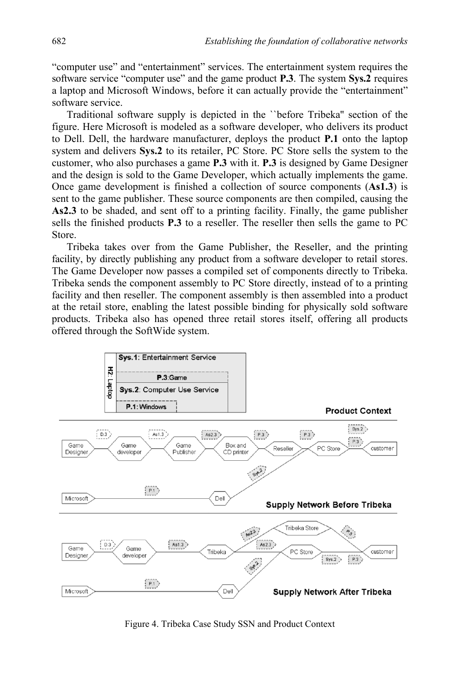"computer use" and "entertainment" services. The entertainment system requires the software service "computer use" and the game product **P.3**. The system **Sys.2** requires a laptop and Microsoft Windows, before it can actually provide the "entertainment" software service.

Traditional software supply is depicted in the ``before Tribeka'' section of the figure. Here Microsoft is modeled as a software developer, who delivers its product to Dell. Dell, the hardware manufacturer, deploys the product **P.1** onto the laptop system and delivers **Sys.2** to its retailer, PC Store. PC Store sells the system to the customer, who also purchases a game **P.3** with it. **P.3** is designed by Game Designer and the design is sold to the Game Developer, which actually implements the game. Once game development is finished a collection of source components (**As1.3**) is sent to the game publisher. These source components are then compiled, causing the **As2.3** to be shaded, and sent off to a printing facility. Finally, the game publisher sells the finished products **P.3** to a reseller. The reseller then sells the game to PC Store.

Tribeka takes over from the Game Publisher, the Reseller, and the printing facility, by directly publishing any product from a software developer to retail stores. The Game Developer now passes a compiled set of components directly to Tribeka. Tribeka sends the component assembly to PC Store directly, instead of to a printing facility and then reseller. The component assembly is then assembled into a product at the retail store, enabling the latest possible binding for physically sold software products. Tribeka also has opened three retail stores itself, offering all products offered through the SoftWide system.



Figure 4. Tribeka Case Study SSN and Product Context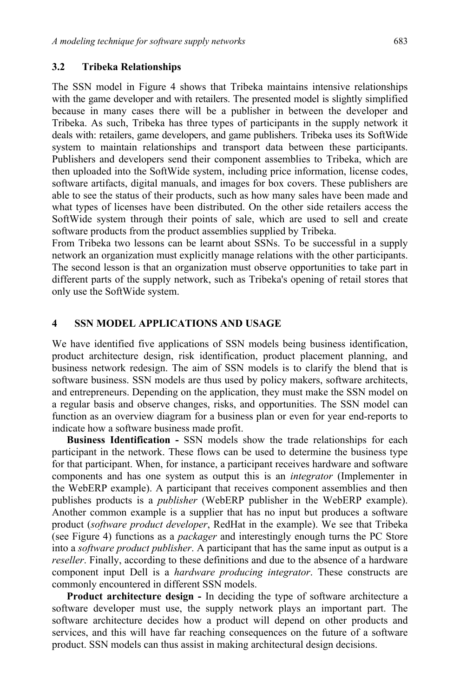# **3.2 Tribeka Relationships**

The SSN model in Figure 4 shows that Tribeka maintains intensive relationships with the game developer and with retailers. The presented model is slightly simplified because in many cases there will be a publisher in between the developer and Tribeka. As such, Tribeka has three types of participants in the supply network it deals with: retailers, game developers, and game publishers. Tribeka uses its SoftWide system to maintain relationships and transport data between these participants. Publishers and developers send their component assemblies to Tribeka, which are then uploaded into the SoftWide system, including price information, license codes, software artifacts, digital manuals, and images for box covers. These publishers are able to see the status of their products, such as how many sales have been made and what types of licenses have been distributed. On the other side retailers access the SoftWide system through their points of sale, which are used to sell and create software products from the product assemblies supplied by Tribeka.

From Tribeka two lessons can be learnt about SSNs. To be successful in a supply network an organization must explicitly manage relations with the other participants. The second lesson is that an organization must observe opportunities to take part in different parts of the supply network, such as Tribeka's opening of retail stores that only use the SoftWide system.

#### **4 SSN MODEL APPLICATIONS AND USAGE**

We have identified five applications of SSN models being business identification, product architecture design, risk identification, product placement planning, and software business. SSN models are thus used by policy makers, software architects, and entrepreneurs. Depending on the application, they must make the SSN model on a regular basis and observe changes, risks, and opportunities. The SSN model can function as an overview diagram for a business plan or even for year end-reports to indicate how a software business made profit. business network redesign. The aim of SSN models is to clarify the blend that is

**Business Identification -** SSN models show the trade relationships for each participant in the network. These flows can be used to determine the business type for that participant. When, for instance, a participant receives hardware and software publishes products is a *publisher* (WebERP publisher in the WebERP example). Another common example is a supplier that has no input but produces a software product (*software product developer*, RedHat in the example). We see that Tribeka (see Figure 4) functions as a *packager* and interestingly enough turns the PC Store into a *software product publisher*. A participant that has the same input as output is a *reseller*. Finally, according to these definitions and due to the absence of a hardware component input Dell is a *hardware producing integrator*. These constructs are commonly encountered in different SSN models. the WebERP example). A participant that receives component assemblies and then components and has one system as output this is an *integrator* (Implementer in

**Product architecture design -** In deciding the type of software architecture a software developer must use, the supply network plays an important part. The software architecture decides how a product will depend on other products and services, and this will have far reaching consequences on the future of a software product. SSN models can thus assist in making architectural design decisions.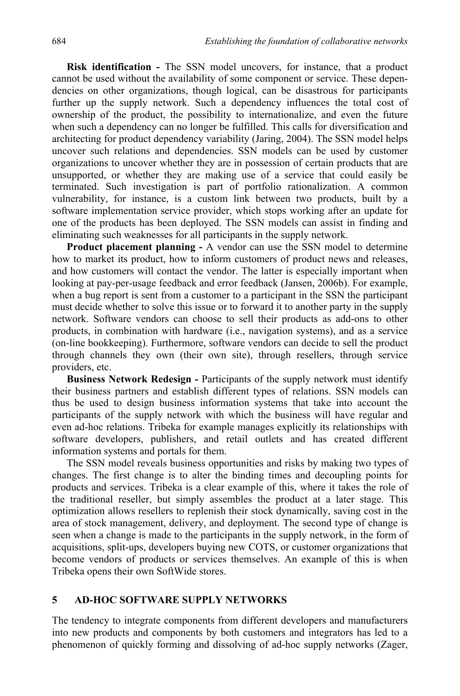**Risk identification -** The SSN model uncovers, for instance, that a product cannot be used without the availability of some component or service. These dependencies on other organizations, though logical, can be disastrous for participants further up the supply network. Such a dependency influences the total cost of ownership of the product, the possibility to internationalize, and even the future when such a dependency can no longer be fulfilled. This calls for diversification and architecting for product dependency variability (Jaring, 2004). The SSN model helps uncover such relations and dependencies. SSN models can be used by customer organizations to uncover whether they are in possession of certain products that are unsupported, or whether they are making use of a service that could easily be terminated. Such investigation is part of portfolio rationalization. A common vulnerability, for instance, is a custom link between two products, built by a software implementation service provider, which stops working after an update for one of the products has been deployed. The SSN models can assist in finding and eliminating such weaknesses for all participants in the supply network.

**Product placement planning -** A vendor can use the SSN model to determine how to market its product, how to inform customers of product news and releases, and how customers will contact the vendor. The latter is especially important when looking at pay-per-usage feedback and error feedback (Jansen, 2006b). For example, when a bug report is sent from a customer to a participant in the SSN the participant must decide whether to solve this issue or to forward it to another party in the supply network. Software vendors can choose to sell their products as add-ons to other products, in combination with hardware (i.e., navigation systems), and as a service (on-line bookkeeping). Furthermore, software vendors can decide to sell the product through channels they own (their own site), through resellers, through service providers, etc.

**Business Network Redesign -** Participants of the supply network must identify their business partners and establish different types of relations. SSN models can thus be used to design business information systems that take into account the participants of the supply network with which the business will have regular and even ad-hoc relations. Tribeka for example manages explicitly its relationships with software developers, publishers, and retail outlets and has created different information systems and portals for them.

The SSN model reveals business opportunities and risks by making two types of changes. The first change is to alter the binding times and decoupling points for products and services. Tribeka is a clear example of this, where it takes the role of the traditional reseller, but simply assembles the product at a later stage. This optimization allows resellers to replenish their stock dynamically, saving cost in the area of stock management, delivery, and deployment. The second type of change is seen when a change is made to the participants in the supply network, in the form of acquisitions, split-ups, developers buying new COTS, or customer organizations that become vendors of products or services themselves. An example of this is when Tribeka opens their own SoftWide stores.

# **5 AD-HOC SOFTWARE SUPPLY NETWORKS**

The tendency to integrate components from different developers and manufacturers into new products and components by both customers and integrators has led to a phenomenon of quickly forming and dissolving of ad-hoc supply networks (Zager,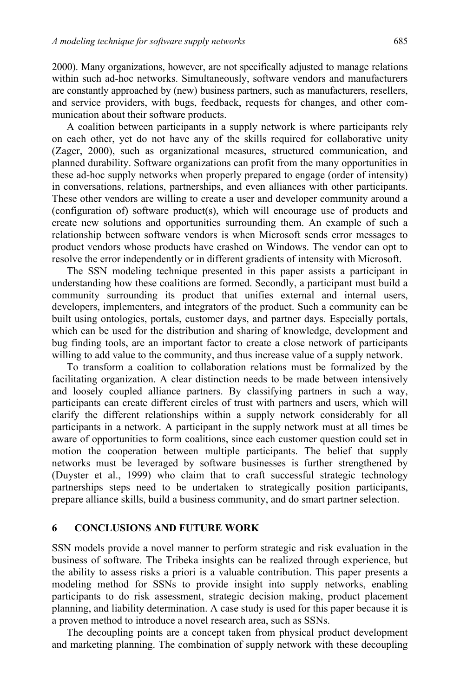2000). Many organizations, however, are not specifically adjusted to manage relations within such ad-hoc networks. Simultaneously, software vendors and manufacturers are constantly approached by (new) business partners, such as manufacturers, resellers, and service providers, with bugs, feedback, requests for changes, and other communication about their software products.

A coalition between participants in a supply network is where participants rely on each other, yet do not have any of the skills required for collaborative unity (Zager, 2000), such as organizational measures, structured communication, and planned durability. Software organizations can profit from the many opportunities in these ad-hoc supply networks when properly prepared to engage (order of intensity) in conversations, relations, partnerships, and even alliances with other participants. These other vendors are willing to create a user and developer community around a (configuration of) software product(s), which will encourage use of products and create new solutions and opportunities surrounding them. An example of such a relationship between software vendors is when Microsoft sends error messages to product vendors whose products have crashed on Windows. The vendor can opt to resolve the error independently or in different gradients of intensity with Microsoft.

The SSN modeling technique presented in this paper assists a participant in understanding how these coalitions are formed. Secondly, a participant must build a community surrounding its product that unifies external and internal users, developers, implementers, and integrators of the product. Such a community can be built using ontologies, portals, customer days, and partner days. Especially portals, which can be used for the distribution and sharing of knowledge, development and bug finding tools, are an important factor to create a close network of participants willing to add value to the community, and thus increase value of a supply network.

To transform a coalition to collaboration relations must be formalized by the facilitating organization. A clear distinction needs to be made between intensively and loosely coupled alliance partners. By classifying partners in such a way, participants can create different circles of trust with partners and users, which will clarify the different relationships within a supply network considerably for all participants in a network. A participant in the supply network must at all times be aware of opportunities to form coalitions, since each customer question could set in motion the cooperation between multiple participants. The belief that supply networks must be leveraged by software businesses is further strengthened by (Duyster et al., 1999) who claim that to craft successful strategic technology partnerships steps need to be undertaken to strategically position participants, prepare alliance skills, build a business community, and do smart partner selection.

### **6 CONCLUSIONS AND FUTURE WORK**

SSN models provide a novel manner to perform strategic and risk evaluation in the business of software. The Tribeka insights can be realized through experience, but the ability to assess risks a priori is a valuable contribution. This paper presents a modeling method for SSNs to provide insight into supply networks, enabling participants to do risk assessment, strategic decision making, product placement planning, and liability determination. A case study is used for this paper because it is a proven method to introduce a novel research area, such as SSNs.

The decoupling points are a concept taken from physical product development and marketing planning. The combination of supply network with these decoupling